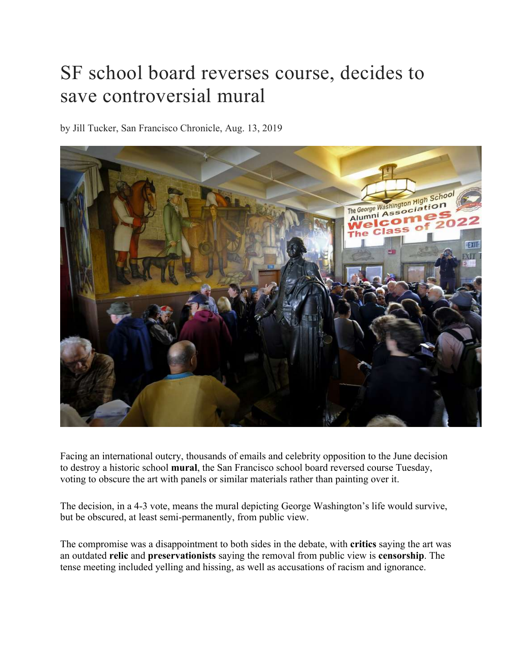## SF school board reverses course, decides to save controversial mural

by Jill Tucker, San Francisco Chronicle, Aug. 13, 2019



Facing an international outcry, thousands of emails and celebrity opposition to the June decision to destroy a historic school **mural**, the San Francisco school board reversed course Tuesday, voting to obscure the art with panels or similar materials rather than painting over it.

The decision, in a 4-3 vote, means the mural depicting George Washington's life would survive, but be obscured, at least semi-permanently, from public view.

The compromise was a disappointment to both sides in the debate, with **critics** saying the art was an outdated **relic** and **preservationists** saying the removal from public view is **censorship**. The tense meeting included yelling and hissing, as well as accusations of racism and ignorance.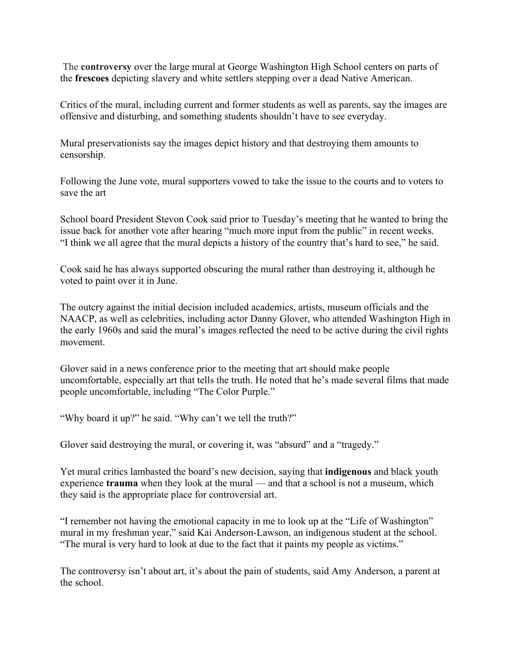The **controversy** over the large mural at George Washington High School centers on parts of the **frescoes** depicting slavery and white settlers stepping over a dead Native American.

Critics of the mural, including current and former students as well as parents, say the images are offensive and disturbing, and something students shouldn't have to see everyday.

Mural preservationists say the images depict history and that destroying them amounts to censorship.

Following the June vote, mural supporters vowed to take the issue to the courts and to voters to save the art

School board President Stevon Cook said prior to Tuesday's meeting that he wanted to bring the issue back for another vote after hearing "much more input from the public" in recent weeks. "I think we all agree that the mural depicts a history of the country that's hard to see," he said.

Cook said he has always supported obscuring the mural rather than destroying it, although he voted to paint over it in June.

The outcry against the initial decision included academics, artists, museum officials and the NAACP, as well as celebrities, including actor Danny Glover, who attended Washington High in the early 1960s and said the mural's images reflected the need to be active during the civil rights movement.

Glover said in a news conference prior to the meeting that art should make people uncomfortable, especially art that tells the truth. He noted that he's made several films that made people uncomfortable, including "The Color Purple."

"Why board it up?" he said. "Why can't we tell the truth?"

Glover said destroying the mural, or covering it, was "absurd" and a "tragedy."

Yet mural critics lambasted the board's new decision, saying that **indigenous** and black youth experience **trauma** when they look at the mural — and that a school is not a museum, which they said is the appropriate place for controversial art.

"I remember not having the emotional capacity in me to look up at the "Life of Washington" mural in my freshman year," said Kai Anderson-Lawson, an indigenous student at the school. "The mural is very hard to look at due to the fact that it paints my people as victims."

The controversy isn't about art, it's about the pain of students, said Amy Anderson, a parent at the school.